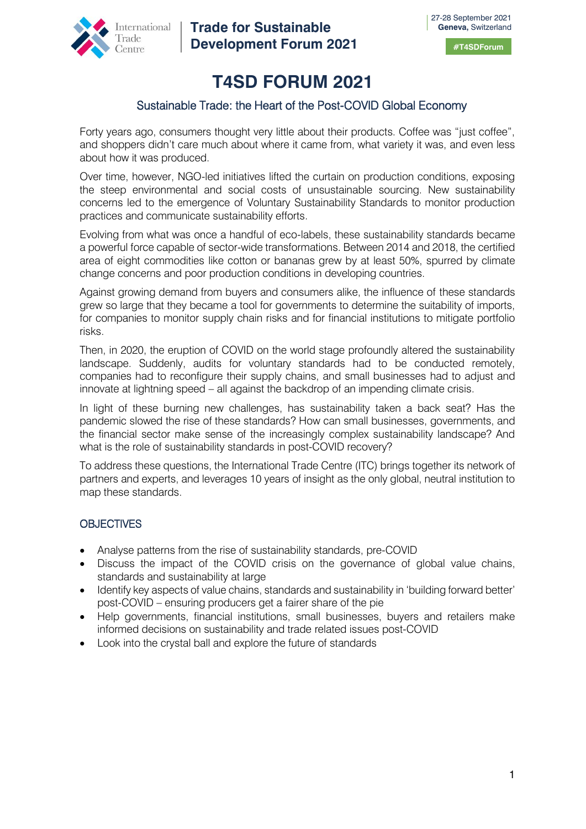

**Trade for Sustainable Development Forum 2021**

# **T4SD FORUM 2021**

# Sustainable Trade: the Heart of the Post-COVID Global Economy

Forty years ago, consumers thought very little about their products. Coffee was "just coffee", and shoppers didn't care much about where it came from, what variety it was, and even less about how it was produced.

Over time, however, NGO-led initiatives lifted the curtain on production conditions, exposing the steep environmental and social costs of unsustainable sourcing. New sustainability concerns led to the emergence of Voluntary Sustainability Standards to monitor production practices and communicate sustainability efforts.

Evolving from what was once a handful of eco-labels, these sustainability standards became a powerful force capable of sector-wide transformations. Between 2014 and 2018, the certified area of eight commodities like cotton or bananas grew by at least 50%, spurred by climate change concerns and poor production conditions in developing countries.

Against growing demand from buyers and consumers alike, the influence of these standards grew so large that they became a tool for governments to determine the suitability of imports, for companies to monitor supply chain risks and for financial institutions to mitigate portfolio risks.

Then, in 2020, the eruption of COVID on the world stage profoundly altered the sustainability landscape. Suddenly, audits for voluntary standards had to be conducted remotely, companies had to reconfigure their supply chains, and small businesses had to adjust and innovate at lightning speed – all against the backdrop of an impending climate crisis.

In light of these burning new challenges, has sustainability taken a back seat? Has the pandemic slowed the rise of these standards? How can small businesses, governments, and the financial sector make sense of the increasingly complex sustainability landscape? And what is the role of sustainability standards in post-COVID recovery?

To address these questions, the International Trade Centre (ITC) brings together its network of partners and experts, and leverages 10 years of insight as the only global, neutral institution to map these standards.

# **OBJECTIVES**

- Analyse patterns from the rise of sustainability standards, pre-COVID
- Discuss the impact of the COVID crisis on the governance of global value chains, standards and sustainability at large
- Identify key aspects of value chains, standards and sustainability in 'building forward better' post-COVID – ensuring producers get a fairer share of the pie
- Help governments, financial institutions, small businesses, buvers and retailers make informed decisions on sustainability and trade related issues post-COVID
- Look into the crystal ball and explore the future of standards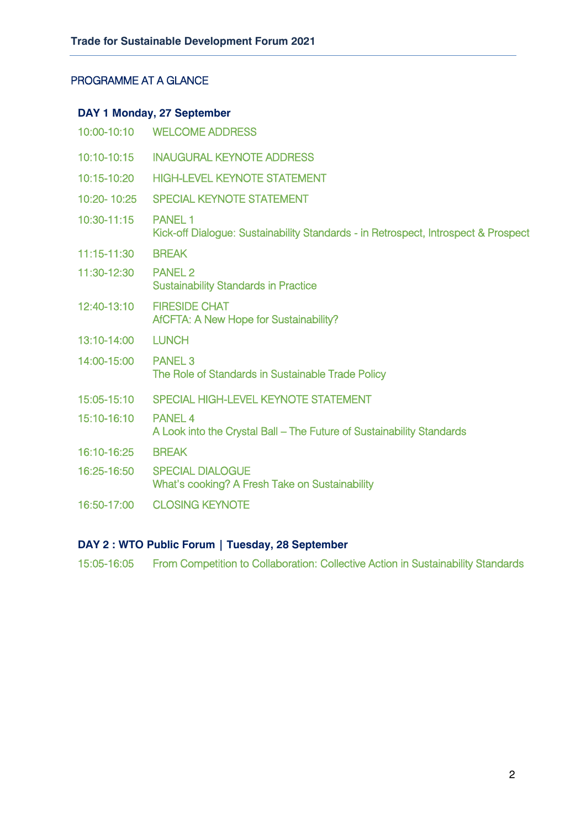# PROGRAMME AT A GLANCE

# **DAY 1 Monday, 27 September**

|             | 10:00-10:10 WELCOME ADDRESS                                                                          |
|-------------|------------------------------------------------------------------------------------------------------|
| 10:10-10:15 | <b>INAUGURAL KEYNOTE ADDRESS</b>                                                                     |
| 10:15-10:20 | <b>HIGH-LEVEL KEYNOTE STATEMENT</b>                                                                  |
| 10:20-10:25 | <b>SPECIAL KEYNOTE STATEMENT</b>                                                                     |
| 10:30-11:15 | <b>PANEL 1</b><br>Kick-off Dialogue: Sustainability Standards - in Retrospect, Introspect & Prospect |
| 11:15-11:30 | <b>BREAK</b>                                                                                         |
| 11:30-12:30 | <b>PANEL 2</b><br><b>Sustainability Standards in Practice</b>                                        |
| 12:40-13:10 | <b>FIRESIDE CHAT</b><br>AfCFTA: A New Hope for Sustainability?                                       |
| 13:10-14:00 | <b>LUNCH</b>                                                                                         |
| 14:00-15:00 | <b>PANEL 3</b><br>The Role of Standards in Sustainable Trade Policy                                  |
| 15:05-15:10 | SPECIAL HIGH-LEVEL KEYNOTE STATEMENT                                                                 |
| 15:10-16:10 | <b>PANEL 4</b><br>A Look into the Crystal Ball - The Future of Sustainability Standards              |
| 16:10-16:25 | <b>BREAK</b>                                                                                         |
| 16:25-16:50 | <b>SPECIAL DIALOGUE</b><br>What's cooking? A Fresh Take on Sustainability                            |
| 16:50-17:00 | <b>CLOSING KEYNOTE</b>                                                                               |

# **DAY 2 : WTO Public Forum | Tuesday, 28 September**

15:05-16:05 From Competition to Collaboration: Collective Action in Sustainability Standards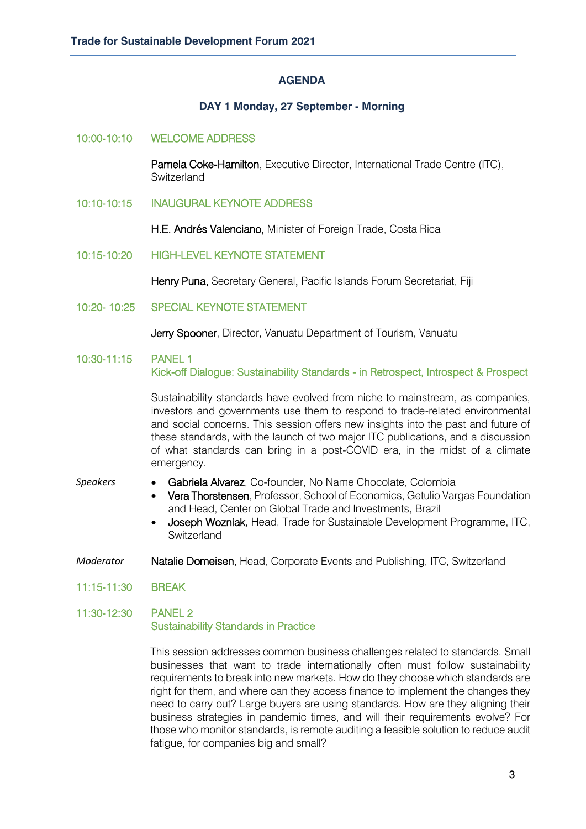#### **AGENDA**

# **DAY 1 Monday, 27 September - Morning**

#### 10:00-10:10 WELCOME ADDRESS

Pamela Coke-Hamilton, Executive Director, International Trade Centre (ITC), **Switzerland** 

10:10-10:15 INAUGURAL KEYNOTE ADDRESS

H.E. Andrés Valenciano, Minister of Foreign Trade, Costa Rica

10:15-10:20 HIGH-LEVEL KEYNOTE STATEMENT

Henry Puna, Secretary General, Pacific Islands Forum Secretariat, Fiji

10:20- 10:25 SPECIAL KEYNOTE STATEMENT

Jerry Spooner, Director, Vanuatu Department of Tourism, Vanuatu

10:30-11:15 PANEL 1 Kick-off Dialogue: Sustainability Standards - in Retrospect, Introspect & Prospect

> Sustainability standards have evolved from niche to mainstream, as companies, investors and governments use them to respond to trade-related environmental and social concerns. This session offers new insights into the past and future of these standards, with the launch of two major ITC publications, and a discussion of what standards can bring in a post-COVID era, in the midst of a climate emergency.

- *Speakers* Gabriela Alvarez, Co-founder, No Name Chocolate, Colombia
	- Vera Thorstensen, Professor, School of Economics, Getulio Vargas Foundation and Head, Center on Global Trade and Investments, Brazil
	- Joseph Wozniak, Head, Trade for Sustainable Development Programme, ITC, **Switzerland**
- *Moderator* Natalie Domeisen, Head, Corporate Events and Publishing, ITC, Switzerland
- 11:15-11:30 BREAK

#### 11:30-12:30 PANEL 2 Sustainability Standards in Practice

This session addresses common business challenges related to standards. Small businesses that want to trade internationally often must follow sustainability requirements to break into new markets. How do they choose which standards are right for them, and where can they access finance to implement the changes they need to carry out? Large buyers are using standards. How are they aligning their business strategies in pandemic times, and will their requirements evolve? For those who monitor standards, is remote auditing a feasible solution to reduce audit fatigue, for companies big and small?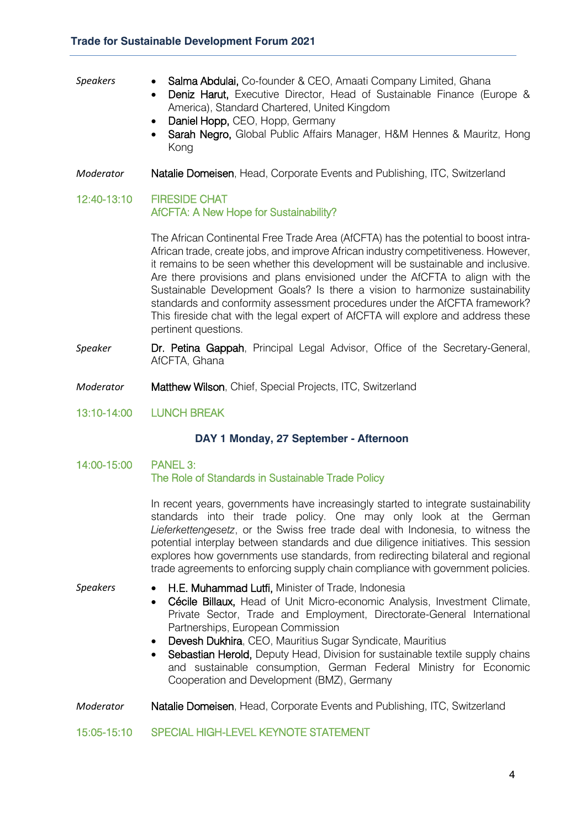#### *Speakers* • Salma Abdulai, Co-founder & CEO, Amaati Company Limited, Ghana

- Deniz Harut, Executive Director, Head of Sustainable Finance (Europe & America), Standard Chartered, United Kingdom
- Daniel Hopp, CEO, Hopp, Germany
- Sarah Negro, Global Public Affairs Manager, H&M Hennes & Mauritz, Hong Kong
- *Moderator* Natalie Domeisen, Head, Corporate Events and Publishing, ITC, Switzerland

# 12:40-13:10 FIRESIDE CHAT AfCFTA: A New Hope for Sustainability?

The African Continental Free Trade Area (AfCFTA) has the potential to boost intra-African trade, create jobs, and improve African industry competitiveness. However, it remains to be seen whether this development will be sustainable and inclusive. Are there provisions and plans envisioned under the AfCFTA to align with the Sustainable Development Goals? Is there a vision to harmonize sustainability standards and conformity assessment procedures under the AfCFTA framework? This fireside chat with the legal expert of AfCFTA will explore and address these pertinent questions.

- **Speaker Dr. Petina Gappah**, Principal Legal Advisor, Office of the Secretary-General, AfCFTA, Ghana
- *Moderator* Matthew Wilson, Chief, Special Projects, ITC, Switzerland
- 13:10-14:00 LUNCH BREAK

# **DAY 1 Monday, 27 September - Afternoon**

#### 14:00-15:00 PANEL 3: The Role of Standards in Sustainable Trade Policy

In recent years, governments have increasingly started to integrate sustainability standards into their trade policy. One may only look at the German *Lieferkettengesetz*, or the Swiss free trade deal with Indonesia, to witness the potential interplay between standards and due diligence initiatives. This session explores how governments use standards, from redirecting bilateral and regional trade agreements to enforcing supply chain compliance with government policies.

- *Speakers* H.E. Muhammad Lutfi, Minister of Trade, Indonesia
	- Cécile Billaux, Head of Unit Micro-economic Analysis, Investment Climate, Private Sector, Trade and Employment, Directorate-General International Partnerships, European Commission
	- Devesh Dukhira, CEO, Mauritius Sugar Syndicate, Mauritius
	- Sebastian Herold, Deputy Head, Division for sustainable textile supply chains and sustainable consumption, German Federal Ministry for Economic Cooperation and Development (BMZ), Germany

# *Moderator* Natalie Domeisen, Head, Corporate Events and Publishing, ITC, Switzerland

# 15:05-15:10 SPECIAL HIGH-LEVEL KEYNOTE STATEMENT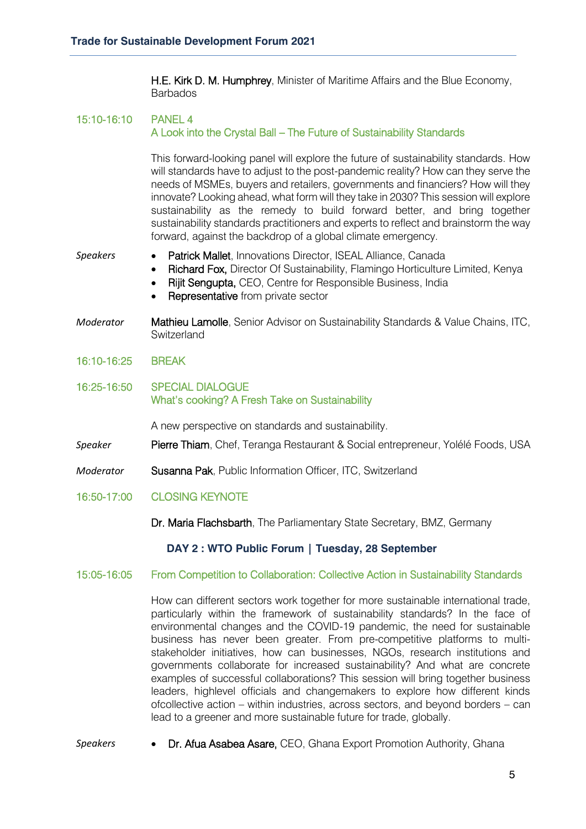H.E. Kirk D. M. Humphrey, Minister of Maritime Affairs and the Blue Economy, **Barbados** 

# 15:10-16:10 PANEL 4 A Look into the Crystal Ball – The Future of Sustainability Standards

This forward-looking panel will explore the future of sustainability standards. How will standards have to adjust to the post-pandemic reality? How can they serve the needs of MSMEs, buyers and retailers, governments and financiers? How will they innovate? Looking ahead, what form will they take in 2030? This session will explore sustainability as the remedy to build forward better, and bring together sustainability standards practitioners and experts to reflect and brainstorm the way forward, against the backdrop of a global climate emergency.

#### *Speakers* • Patrick Mallet, Innovations Director, ISEAL Alliance, Canada

- Richard Fox, Director Of Sustainability, Flamingo Horticulture Limited, Kenya
- Rijit Sengupta, CEO, Centre for Responsible Business, India
- Representative from private sector
- *Moderator* Mathieu Lamolle, Senior Advisor on Sustainability Standards & Value Chains, ITC, **Switzerland**
- 16:10-16:25 BREAK
- 16:25-16:50 SPECIAL DIALOGUE What's cooking? A Fresh Take on Sustainability

A new perspective on standards and sustainability.

- *Speaker* Pierre Thiam, Chef, Teranga Restaurant & Social entrepreneur, Yolélé Foods, USA
- *Moderator* Susanna Pak, Public Information Officer, ITC, Switzerland
- 16:50-17:00 CLOSING KEYNOTE
	- Dr. Maria Flachsbarth, The Parliamentary State Secretary, BMZ, Germany

# **DAY 2 : WTO Public Forum | Tuesday, 28 September**

#### 15:05-16:05 From Competition to Collaboration: Collective Action in Sustainability Standards

How can different sectors work together for more sustainable international trade, particularly within the framework of sustainability standards? In the face of environmental changes and the COVID-19 pandemic, the need for sustainable business has never been greater. From pre-competitive platforms to multistakeholder initiatives, how can businesses, NGOs, research institutions and governments collaborate for increased sustainability? And what are concrete examples of successful collaborations? This session will bring together business leaders, highlevel officials and changemakers to explore how different kinds ofcollective action – within industries, across sectors, and beyond borders – can lead to a greener and more sustainable future for trade, globally.

*Speakers* • Dr. Afua Asabea Asare, CEO, Ghana Export Promotion Authority, Ghana